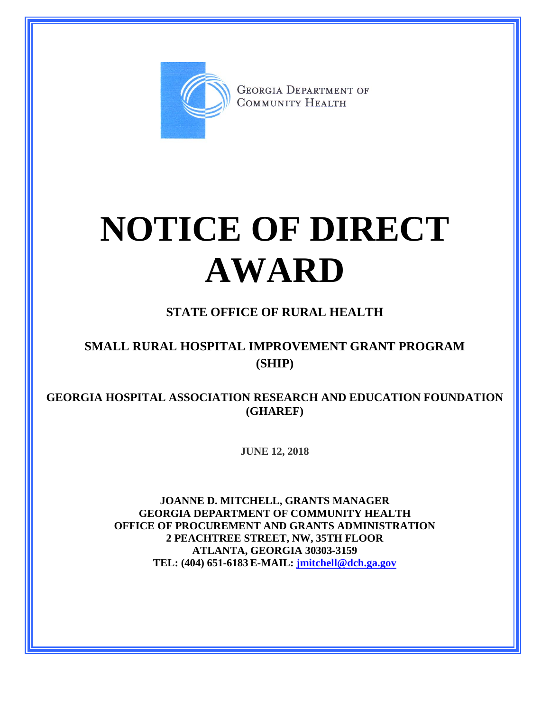

**GEORGIA DEPARTMENT OF** COMMUNITY HEALTH

# **NOTICE OF DIRECT AWARD**

## **STATE OFFICE OF RURAL HEALTH**

## **SMALL RURAL HOSPITAL IMPROVEMENT GRANT PROGRAM (SHIP)**

**GEORGIA HOSPITAL ASSOCIATION RESEARCH AND EDUCATION FOUNDATION (GHAREF)**

**JUNE 12, 2018**

**JOANNE D. MITCHELL, GRANTS MANAGER GEORGIA DEPARTMENT OF COMMUNITY HEALTH OFFICE OF PROCUREMENT AND GRANTS ADMINISTRATION 2 PEACHTREE STREET, NW, 35TH FLOOR ATLANTA, GEORGIA 30303-3159 TEL: (404) 651-6183 E-MAIL: [jmitchell@dch.ga.gov](mailto:awatson@dch.ga.gov)**